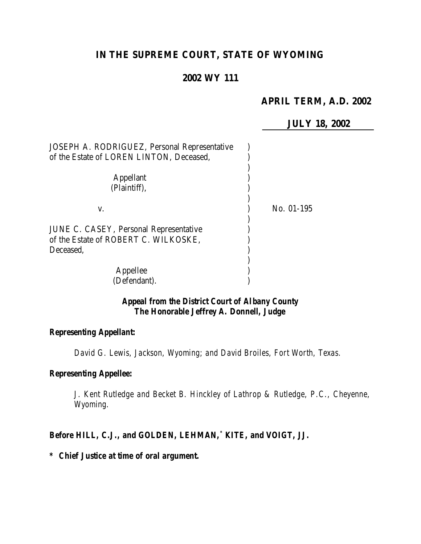## **IN THE SUPREME COURT, STATE OF WYOMING**

## **2002 WY 111**

## **APRIL TERM, A.D. 2002**

**JULY 18, 2002**

| JOSEPH A. RODRIGUEZ, Personal Representative |            |
|----------------------------------------------|------------|
| of the Estate of LOREN LINTON, Deceased,     |            |
| <b>Appellant</b><br>(Plaintiff),             |            |
| V.                                           | No. 01-195 |
|                                              |            |
| JUNE C. CASEY, Personal Representative       |            |
| of the Estate of ROBERT C. WILKOSKE,         |            |
| Deceased.                                    |            |
|                                              |            |
| Appellee                                     |            |
| (Defendant).                                 |            |

## *Appeal from the District Court of Albany County The Honorable Jeffrey A. Donnell, Judge*

#### *Representing Appellant:*

*David G. Lewis, Jackson, Wyoming; and David Broiles, Fort Worth, Texas.*

#### *Representing Appellee:*

*J. Kent Rutledge and Becket B. Hinckley of Lathrop & Rutledge, P.C., Cheyenne, Wyoming.*

#### *Before HILL, C.J., and GOLDEN, LEHMAN,\* KITE, and VOIGT, JJ.*

*\* Chief Justice at time of oral argument.*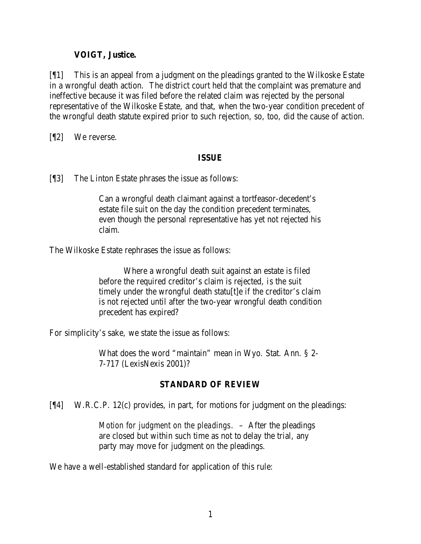### **VOIGT, Justice.**

[¶1] This is an appeal from a judgment on the pleadings granted to the Wilkoske Estate in a wrongful death action. The district court held that the complaint was premature and ineffective because it was filed before the related claim was rejected by the personal representative of the Wilkoske Estate, and that, when the two-year condition precedent of the wrongful death statute expired prior to such rejection, so, too, did the cause of action.

[¶2] We reverse.

## **ISSUE**

[¶3] The Linton Estate phrases the issue as follows:

Can a wrongful death claimant against a tortfeasor-decedent's estate file suit on the day the condition precedent terminates, even though the personal representative has yet not rejected his claim.

The Wilkoske Estate rephrases the issue as follows:

Where a wrongful death suit against an estate is filed before the required creditor's claim is rejected, is the suit timely under the wrongful death statu[t]e if the creditor's claim is not rejected until after the two-year wrongful death condition precedent has expired?

For simplicity's sake, we state the issue as follows:

What does the word "maintain" mean in Wyo. Stat. Ann. § 2- 7-717 (LexisNexis 2001)?

## **STANDARD OF REVIEW**

[¶4] W.R.C.P. 12(c) provides, in part, for motions for judgment on the pleadings:

*Motion for judgment on the pleadings*. – After the pleadings are closed but within such time as not to delay the trial, any party may move for judgment on the pleadings.

We have a well-established standard for application of this rule: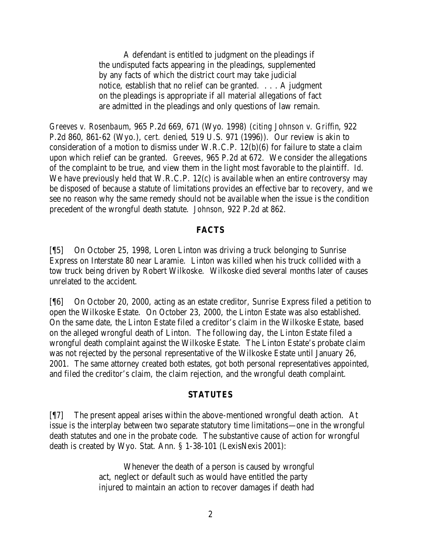A defendant is entitled to judgment on the pleadings if the undisputed facts appearing in the pleadings, supplemented by any facts of which the district court may take judicial notice, establish that no relief can be granted. . . . A judgment on the pleadings is appropriate if all material allegations of fact are admitted in the pleadings and only questions of law remain.

*Greeves v. Rosenbaum*, 965 P.2d 669, 671 (Wyo. 1998) (*citing Johnson v. Griffin*, 922 P.2d 860, 861-62 (Wyo.), *cert. denied*, 519 U.S. 971 (1996)). Our review is akin to consideration of a motion to dismiss under W.R.C.P. 12(b)(6) for failure to state a claim upon which relief can be granted. *Greeves*, 965 P.2d at 672. We consider the allegations of the complaint to be true, and view them in the light most favorable to the plaintiff. *Id.* We have previously held that W.R.C.P. 12(c) is available when an entire controversy may be disposed of because a statute of limitations provides an effective bar to recovery, and we see no reason why the same remedy should not be available when the issue is the condition precedent of the wrongful death statute. *Johnson*, 922 P.2d at 862.

#### **FACTS**

[¶5] On October 25, 1998, Loren Linton was driving a truck belonging to Sunrise Express on Interstate 80 near Laramie. Linton was killed when his truck collided with a tow truck being driven by Robert Wilkoske. Wilkoske died several months later of causes unrelated to the accident.

[¶6] On October 20, 2000, acting as an estate creditor, Sunrise Express filed a petition to open the Wilkoske Estate. On October 23, 2000, the Linton Estate was also established. On the same date, the Linton Estate filed a creditor's claim in the Wilkoske Estate, based on the alleged wrongful death of Linton. The following day, the Linton Estate filed a wrongful death complaint against the Wilkoske Estate. The Linton Estate's probate claim was not rejected by the personal representative of the Wilkoske Estate until January 26, 2001. The same attorney created both estates, got both personal representatives appointed, and filed the creditor's claim, the claim rejection, and the wrongful death complaint.

#### **STATUTES**

[¶7] The present appeal arises within the above-mentioned wrongful death action. At issue is the interplay between two separate statutory time limitations—one in the wrongful death statutes and one in the probate code. The substantive cause of action for wrongful death is created by Wyo. Stat. Ann. § 1-38-101 (LexisNexis 2001):

> Whenever the death of a person is caused by wrongful act, neglect or default such as would have entitled the party injured to maintain an action to recover damages if death had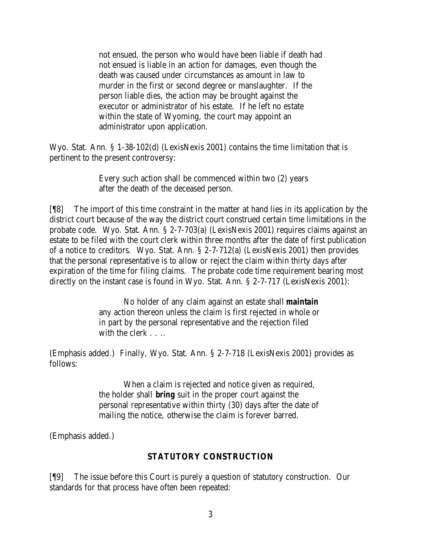not ensued, the person who would have been liable if death had not ensued is liable in an action for damages, even though the death was caused under circumstances as amount in law to murder in the first or second degree or manslaughter. If the person liable dies, the action may be brought against the executor or administrator of his estate. If he left no estate within the state of Wyoming, the court may appoint an administrator upon application.

Wyo. Stat. Ann. § 1-38-102(d) (LexisNexis 2001) contains the time limitation that is pertinent to the present controversy:

> Every such action shall be commenced within two (2) years after the death of the deceased person.

[¶8] The import of this time constraint in the matter at hand lies in its application by the district court because of the way the district court construed certain time limitations in the probate code. Wyo. Stat. Ann. § 2-7-703(a) (LexisNexis 2001) requires claims against an estate to be filed with the court clerk within three months after the date of first publication of a notice to creditors. Wyo. Stat. Ann. § 2-7-712(a) (LexisNexis 2001) then provides that the personal representative is to allow or reject the claim within thirty days after expiration of the time for filing claims. The probate code time requirement bearing most directly on the instant case is found in Wyo. Stat. Ann. § 2-7-717 (LexisNexis 2001):

> No holder of any claim against an estate shall *maintain* any action thereon unless the claim is first rejected in whole or in part by the personal representative and the rejection filed with the clerk . . . .

(Emphasis added.) Finally, Wyo. Stat. Ann. § 2-7-718 (LexisNexis 2001) provides as follows:

> When a claim is rejected and notice given as required, the holder shall *bring* suit in the proper court against the personal representative within thirty (30) days after the date of mailing the notice, otherwise the claim is forever barred.

(Emphasis added.)

# **STATUTORY CONSTRUCTION**

[¶9] The issue before this Court is purely a question of statutory construction. Our standards for that process have often been repeated: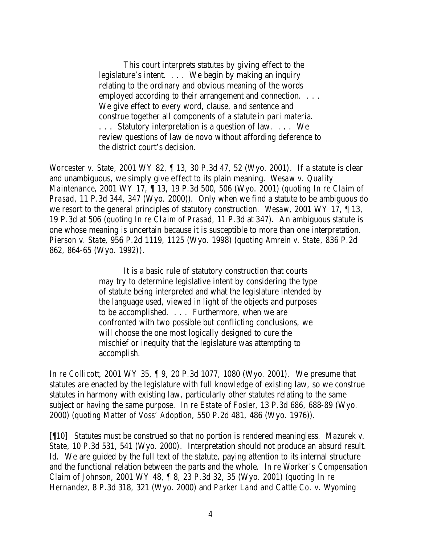This court interprets statutes by giving effect to the legislature's intent. . . . We begin by making an inquiry relating to the ordinary and obvious meaning of the words employed according to their arrangement and connection. . . . We give effect to every word, clause, and sentence and construe together all components of a statute *in pari materia*. . . . Statutory interpretation is a question of law. . . . We review questions of law de novo without affording deference to the district court's decision.

*Worcester v. State*, 2001 WY 82, ¶ 13, 30 P.3d 47, 52 (Wyo. 2001). If a statute is clear and unambiguous, we simply give effect to its plain meaning. *Wesaw v. Quality Maintenance*, 2001 WY 17, ¶ 13, 19 P.3d 500, 506 (Wyo. 2001) (*quoting In re Claim of Prasad*, 11 P.3d 344, 347 (Wyo. 2000)). Only when we find a statute to be ambiguous do we resort to the general principles of statutory construction. *Wesaw*, 2001 WY 17, ¶ 13, 19 P.3d at 506 (*quoting In re Claim of Prasad*, 11 P.3d at 347). An ambiguous statute is one whose meaning is uncertain because it is susceptible to more than one interpretation. *Pierson v. State*, 956 P.2d 1119, 1125 (Wyo. 1998) (*quoting Amrein v. State*, 836 P.2d 862, 864-65 (Wyo. 1992)).

> It is a basic rule of statutory construction that courts may try to determine legislative intent by considering the type of statute being interpreted and what the legislature intended by the language used, viewed in light of the objects and purposes to be accomplished. . . . Furthermore, when we are confronted with two possible but conflicting conclusions, we will choose the one most logically designed to cure the mischief or inequity that the legislature was attempting to accomplish.

*In re Collicott*, 2001 WY 35, ¶ 9, 20 P.3d 1077, 1080 (Wyo. 2001). We presume that statutes are enacted by the legislature with full knowledge of existing law, so we construe statutes in harmony with existing law, particularly other statutes relating to the same subject or having the same purpose. *In re Estate of Fosler*, 13 P.3d 686, 688-89 (Wyo. 2000) (*quoting Matter of Voss' Adoption*, 550 P.2d 481, 486 (Wyo. 1976)).

[¶10] Statutes must be construed so that no portion is rendered meaningless. *Mazurek v. State*, 10 P.3d 531, 541 (Wyo. 2000). Interpretation should not produce an absurd result. *Id.* We are guided by the full text of the statute, paying attention to its internal structure and the functional relation between the parts and the whole. *In re Worker's Compensation Claim of Johnson*, 2001 WY 48, ¶ 8, 23 P.3d 32, 35 (Wyo. 2001) (*quoting In re Hernandez*, 8 P.3d 318, 321 (Wyo. 2000) and *Parker Land and Cattle Co. v. Wyoming*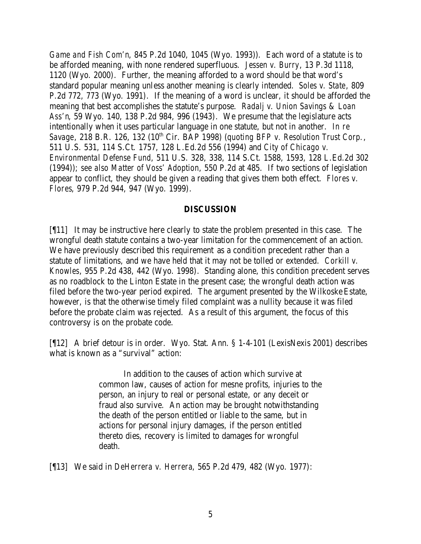*Game and Fish Com'n*, 845 P.2d 1040, 1045 (Wyo. 1993)). Each word of a statute is to be afforded meaning, with none rendered superfluous. *Jessen v. Burry*, 13 P.3d 1118, 1120 (Wyo. 2000). Further, the meaning afforded to a word should be that word's standard popular meaning unless another meaning is clearly intended. *Soles v. State*, 809 P.2d 772, 773 (Wyo. 1991). If the meaning of a word is unclear, it should be afforded the meaning that best accomplishes the statute's purpose. *Radalj v. Union Savings & Loan Ass'n*, 59 Wyo. 140, 138 P.2d 984, 996 (1943). We presume that the legislature acts intentionally when it uses particular language in one statute, but not in another. *In re Savage*, 218 B.R. 126, 132 (10<sup>th</sup> Cir. BAP 1998) (*quoting BFP v. Resolution Trust Corp.*, 511 U.S. 531, 114 S.Ct. 1757, 128 L.Ed.2d 556 (1994) and *City of Chicago v. Environmental Defense Fund*, 511 U.S. 328, 338, 114 S.Ct. 1588, 1593, 128 L.Ed.2d 302 (1994)); *see also Matter of Voss' Adoption*, 550 P.2d at 485. If two sections of legislation appear to conflict, they should be given a reading that gives them both effect. *Flores v. Flores*, 979 P.2d 944, 947 (Wyo. 1999).

#### **DISCUSSION**

[¶11] It may be instructive here clearly to state the problem presented in this case. The wrongful death statute contains a two-year limitation for the commencement of an action. We have previously described this requirement as a condition precedent rather than a statute of limitations, and we have held that it may not be tolled or extended. *Corkill v. Knowles*, 955 P.2d 438, 442 (Wyo. 1998). Standing alone, this condition precedent serves as no roadblock to the Linton Estate in the present case; the wrongful death action was filed before the two-year period expired. The argument presented by the Wilkoske Estate, however, is that the otherwise timely filed complaint was a nullity because it was filed before the probate claim was rejected. As a result of this argument, the focus of this controversy is on the probate code.

[¶12] A brief detour is in order. Wyo. Stat. Ann. § 1-4-101 (LexisNexis 2001) describes what is known as a "survival" action:

> In addition to the causes of action which survive at common law, causes of action for mesne profits, injuries to the person, an injury to real or personal estate, or any deceit or fraud also survive. An action may be brought notwithstanding the death of the person entitled or liable to the same, but in actions for personal injury damages, if the person entitled thereto dies, recovery is limited to damages for wrongful death.

[¶13] We said in *DeHerrera v. Herrera*, 565 P.2d 479, 482 (Wyo. 1977):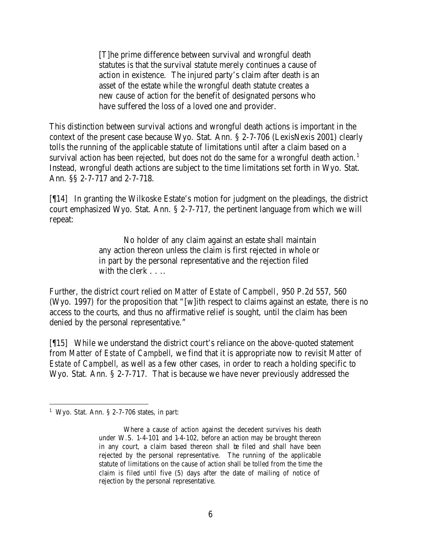[T]he prime difference between survival and wrongful death statutes is that the survival statute merely continues a cause of action in existence. The injured party's claim after death is an asset of the estate while the wrongful death statute creates a new cause of action for the benefit of designated persons who have suffered the loss of a loved one and provider.

This distinction between survival actions and wrongful death actions is important in the context of the present case because Wyo. Stat. Ann. § 2-7-706 (LexisNexis 2001) clearly tolls the running of the applicable statute of limitations until after a claim based on a survival action has been rejected, but does not do the same for a wrongful death action.<sup>1</sup> Instead, wrongful death actions are subject to the time limitations set forth in Wyo. Stat. Ann. §§ 2-7-717 and 2-7-718.

[¶14] In granting the Wilkoske Estate's motion for judgment on the pleadings, the district court emphasized Wyo. Stat. Ann. § 2-7-717, the pertinent language from which we will repeat:

> No holder of any claim against an estate shall maintain any action thereon unless the claim is first rejected in whole or in part by the personal representative and the rejection filed with the clerk . . . .

Further, the district court relied on *Matter of Estate of Campbell*, 950 P.2d 557, 560 (Wyo. 1997) for the proposition that "[w]ith respect to claims against an estate, there is no access to the courts, and thus no affirmative relief is sought, until the claim has been denied by the personal representative."

[¶15] While we understand the district court's reliance on the above-quoted statement from *Matter of Estate of Campbell*, we find that it is appropriate now to revisit *Matter of Estate of Campbell*, as well as a few other cases, in order to reach a holding specific to Wyo. Stat. Ann. § 2-7-717. That is because we have never previously addressed the

<sup>&</sup>lt;sup>1</sup> Wyo. Stat. Ann. § 2-7-706 states, in part:

Where a cause of action against the decedent survives his death under W.S. 1-4-101 and 1-4-102, before an action may be brought thereon in any court, a claim based thereon shall be filed and shall have been rejected by the personal representative. The running of the applicable statute of limitations on the cause of action shall be tolled from the time the claim is filed until five (5) days after the date of mailing of notice of rejection by the personal representative.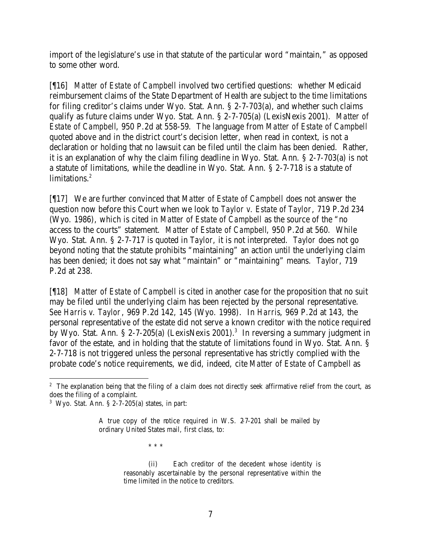import of the legislature's use in that statute of the particular word "maintain," as opposed to some other word.

[¶16] *Matter of Estate of Campbell* involved two certified questions: whether Medicaid reimbursement claims of the State Department of Health are subject to the time limitations for filing creditor's claims under Wyo. Stat. Ann. § 2-7-703(a), and whether such claims qualify as future claims under Wyo. Stat. Ann. § 2-7-705(a) (LexisNexis 2001). *Matter of Estate of Campbell*, 950 P.2d at 558-59. The language from *Matter of Estate of Campbell* quoted above and in the district court's decision letter, when read in context, is not a declaration or holding that no lawsuit can be filed until the claim has been denied. Rather, it is an explanation of why the claim filing deadline in Wyo. Stat. Ann. § 2-7-703(a) is not a statute of limitations, while the deadline in Wyo. Stat. Ann. § 2-7-718 is a statute of limitations.<sup>2</sup>

[¶17] We are further convinced that *Matter of Estate of Campbell* does not answer the question now before this Court when we look to *Taylor v. Estate of Taylor*, 719 P.2d 234 (Wyo. 1986), which is cited in *Matter of Estate of Campbell* as the source of the "no access to the courts" statement. *Matter of Estate of Campbell*, 950 P.2d at 560. While Wyo. Stat. Ann. § 2-7-717 is quoted in *Taylor*, it is not interpreted. *Taylor* does not go beyond noting that the statute prohibits "maintaining" an action until the underlying claim has been denied; it does not say what "maintain" or "maintaining" means. *Taylor*, 719 P.2d at 238.

[¶18] *Matter of Estate of Campbell* is cited in another case for the proposition that no suit may be filed until the underlying claim has been rejected by the personal representative. *See Harris v. Taylor*, 969 P.2d 142, 145 (Wyo. 1998). In *Harris*, 969 P.2d at 143, the personal representative of the estate did not serve a known creditor with the notice required by Wyo. Stat. Ann. § 2-7-205(a) (LexisNexis 2001).<sup>3</sup> In reversing a summary judgment in favor of the estate, and in holding that the statute of limitations found in Wyo. Stat. Ann. § 2-7-718 is not triggered unless the personal representative has strictly complied with the probate code's notice requirements, we did, indeed, cite *Matter of Estate of Campbell* as

\* \* \*

(ii) Each creditor of the decedent whose identity is reasonably ascertainable by the personal representative within the time limited in the notice to creditors.

<sup>&</sup>lt;sup>2</sup> The explanation being that the filing of a claim does not directly seek affirmative relief from the court, as does the filing of a complaint.

 $3$  Wyo. Stat. Ann. § 2-7-205(a) states, in part:

A true copy of the notice required in W.S. 2-7-201 shall be mailed by ordinary United States mail, first class, to: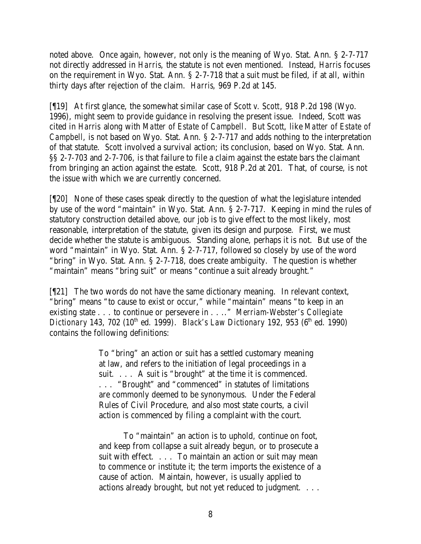noted above. Once again, however, not only is the meaning of Wyo. Stat. Ann. § 2-7-717 not directly addressed in *Harris*, the statute is not even mentioned. Instead, *Harris* focuses on the requirement in Wyo. Stat. Ann. § 2-7-718 that a suit must be filed, if at all, within thirty days after rejection of the claim. *Harris*, 969 P.2d at 145.

[¶19] At first glance, the somewhat similar case of *Scott v. Scott*, 918 P.2d 198 (Wyo. 1996), might seem to provide guidance in resolving the present issue. Indeed, *Scott* was cited in *Harris* along with *Matter of Estate of Campbell*. But *Scott*, like *Matter of Estate of Campbell*, is not based on Wyo. Stat. Ann. § 2-7-717 and adds nothing to the interpretation of that statute. *Scott* involved a survival action; its conclusion, based on Wyo. Stat. Ann. §§ 2-7-703 and 2-7-706, is that failure to file a claim against the estate bars the claimant from bringing an action against the estate. *Scott*, 918 P.2d at 201. That, of course, is not the issue with which we are currently concerned.

[¶20] None of these cases speak directly to the question of what the legislature intended by use of the word "maintain" in Wyo. Stat. Ann. § 2-7-717. Keeping in mind the rules of statutory construction detailed above, our job is to give effect to the most likely, most reasonable, interpretation of the statute, given its design and purpose. First, we must decide whether the statute is ambiguous. Standing alone, perhaps it is not. But use of the word "maintain" in Wyo. Stat. Ann. § 2-7-717, followed so closely by use of the word "bring" in Wyo. Stat. Ann. § 2-7-718, does create ambiguity. The question is whether "maintain" means "bring suit" or means "continue a suit already brought."

[¶21] The two words do not have the same dictionary meaning. In relevant context, "bring" means "to cause to exist or occur," while "maintain" means "to keep in an existing state . . . to continue or persevere in . . .." *Merriam-Webster's Collegiate Dictionary* 143, 702 (10<sup>th</sup> ed. 1999). *Black's Law Dictionary* 192, 953 (6<sup>th</sup> ed. 1990) contains the following definitions:

> To "bring" an action or suit has a settled customary meaning at law, and refers to the initiation of legal proceedings in a suit. . . . A suit is "brought" at the time it is commenced. . . . "Brought" and "commenced" in statutes of limitations are commonly deemed to be synonymous. Under the Federal Rules of Civil Procedure, and also most state courts, a civil action is commenced by filing a complaint with the court.

To "maintain" an action is to uphold, continue on foot, and keep from collapse a suit already begun, or to prosecute a suit with effect. . . . To maintain an action or suit may mean to commence or institute it; the term imports the existence of a cause of action. Maintain, however, is usually applied to actions already brought, but not yet reduced to judgment. . . .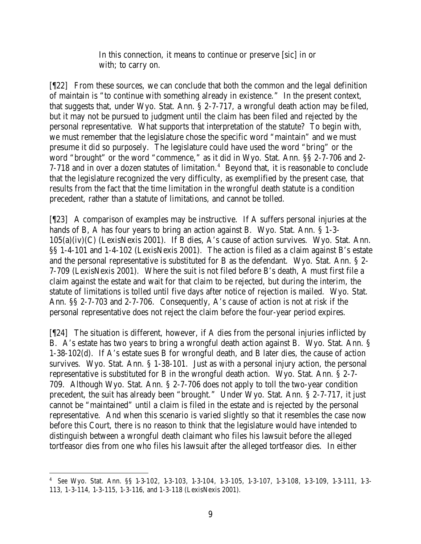In this connection, it means to continue or preserve [sic] in or with; to carry on.

[¶22] From these sources, we can conclude that both the common and the legal definition of maintain is "to continue with something already in existence." In the present context, that suggests that, under Wyo. Stat. Ann. § 2-7-717, a wrongful death action may be filed, but it may not be pursued to judgment until the claim has been filed and rejected by the personal representative. What supports that interpretation of the statute? To begin with, we must remember that the legislature chose the specific word "maintain" and we must presume it did so purposely. The legislature could have used the word "bring" or the word "brought" or the word "commence," as it did in Wyo. Stat. Ann. §§ 2-7-706 and 2-  $7-718$  and in over a dozen statutes of limitation.<sup>4</sup> Beyond that, it is reasonable to conclude that the legislature recognized the very difficulty, as exemplified by the present case, that results from the fact that the time limitation in the wrongful death statute is a condition precedent, rather than a statute of limitations, and cannot be tolled.

[¶23] A comparison of examples may be instructive. If A suffers personal injuries at the hands of B, A has four years to bring an action against B. Wyo. Stat. Ann. § 1-3- 105(a)(iv)(C) (LexisNexis 2001). If B dies, A's cause of action survives. Wyo. Stat. Ann. §§ 1-4-101 and 1-4-102 (LexisNexis 2001). The action is filed as a claim against B's estate and the personal representative is substituted for B as the defendant. Wyo. Stat. Ann. § 2- 7-709 (LexisNexis 2001). Where the suit is not filed before B's death, A must first file a claim against the estate and wait for that claim to be rejected, but during the interim, the statute of limitations is tolled until five days after notice of rejection is mailed. Wyo. Stat. Ann. §§ 2-7-703 and 2-7-706. Consequently, A's cause of action is not at risk if the personal representative does not reject the claim before the four-year period expires.

[¶24] The situation is different, however, if A dies from the personal injuries inflicted by B. A's estate has two years to bring a wrongful death action against B. Wyo. Stat. Ann. § 1-38-102(d). If A's estate sues B for wrongful death, and B later dies, the cause of action survives. Wyo. Stat. Ann. § 1-38-101. Just as with a personal injury action, the personal representative is substituted for B in the wrongful death action. Wyo. Stat. Ann. § 2-7- 709. Although Wyo. Stat. Ann. § 2-7-706 does not apply to toll the two-year condition precedent, the suit has already been "brought." Under Wyo. Stat. Ann. § 2-7-717, it just cannot be "maintained" until a claim is filed in the estate and is rejected by the personal representative. And when this scenario is varied slightly so that it resembles the case now before this Court, there is no reason to think that the legislature would have intended to distinguish between a wrongful death claimant who files his lawsuit before the alleged tortfeasor dies from one who files his lawsuit after the alleged tortfeasor dies. In either

 4 *See* Wyo. Stat. Ann. §§ 1-3-102, 1-3-103, 1-3-104, 1-3-105, 1-3-107, 1-3-108, 1-3-109, 1-3-111, 1-3- 113, 1-3-114, 1-3-115, 1-3-116, and 1-3-118 (LexisNexis 2001).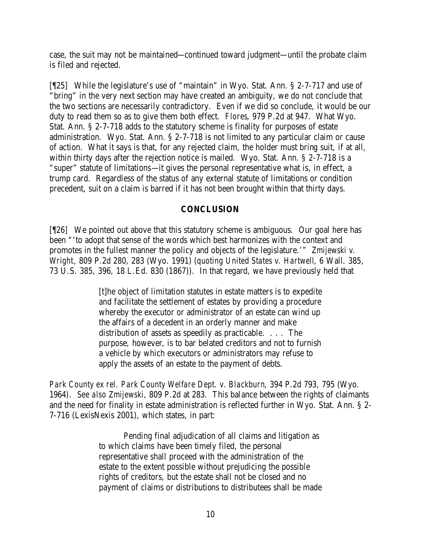case, the suit may not be maintained—continued toward judgment—until the probate claim is filed and rejected.

[¶25] While the legislature's use of "maintain" in Wyo. Stat. Ann. § 2-7-717 and use of "bring" in the very next section may have created an ambiguity, we do not conclude that the two sections are necessarily contradictory. Even if we did so conclude, it would be our duty to read them so as to give them both effect. *Flores*, 979 P.2d at 947. What Wyo. Stat. Ann. § 2-7-718 adds to the statutory scheme is finality for purposes of estate administration. Wyo. Stat. Ann. § 2-7-718 is not limited to any particular claim or cause of action. What it says is that, for any rejected claim, the holder must bring suit, if at all, within thirty days after the rejection notice is mailed. Wyo. Stat. Ann. § 2-7-718 is a "super" statute of limitations—it gives the personal representative what is, in effect, a trump card. Regardless of the status of any external statute of limitations or condition precedent, suit on a claim is barred if it has not been brought within that thirty days.

### **CONCLUSION**

[¶26] We pointed out above that this statutory scheme is ambiguous. Our goal here has been "'to adopt that sense of the words which best harmonizes with the context and promotes in the fullest manner the policy and objects of the legislature.'" *Zmijewski v. Wright*, 809 P.2d 280, 283 (Wyo. 1991) (*quoting United States v. Hartwell*, 6 Wall. 385, 73 U.S. 385, 396, 18 L.Ed. 830 (1867)). In that regard, we have previously held that

> [t]he object of limitation statutes in estate matters is to expedite and facilitate the settlement of estates by providing a procedure whereby the executor or administrator of an estate can wind up the affairs of a decedent in an orderly manner and make distribution of assets as speedily as practicable. . . . The purpose, however, is to bar belated creditors and not to furnish a vehicle by which executors or administrators may refuse to apply the assets of an estate to the payment of debts.

*Park County ex rel. Park County Welfare Dept. v. Blackburn*, 394 P.2d 793, 795 (Wyo. 1964). *See also Zmijewski*, 809 P.2d at 283. This balance between the rights of claimants and the need for finality in estate administration is reflected further in Wyo. Stat. Ann. § 2- 7-716 (LexisNexis 2001), which states, in part:

> Pending final adjudication of all claims and litigation as to which claims have been timely filed, the personal representative shall proceed with the administration of the estate to the extent possible without prejudicing the possible rights of creditors, but the estate shall not be closed and no payment of claims or distributions to distributees shall be made